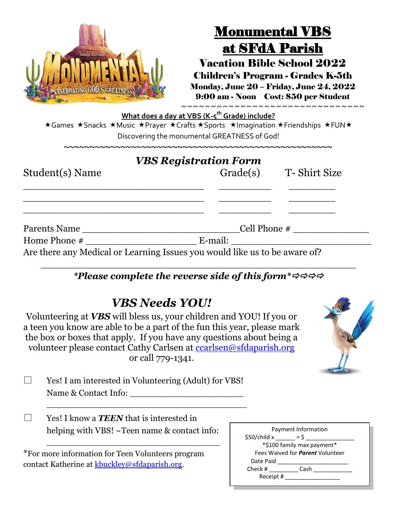| <b>Totally Catholic</b><br>CELEBRATING GOD'S GREATNESS                        | <b>Monumental VBS</b><br>at SFdA Parish<br><b>Vacation Bible School 2022</b><br><b>Children's Program - Grades K-5th</b><br>Monday, June 20 – Friday, June 24, 2022<br>9:00 am - Noon Cost: \$50 per Student |  |
|-------------------------------------------------------------------------------|--------------------------------------------------------------------------------------------------------------------------------------------------------------------------------------------------------------|--|
| ★Games ★Snacks ★Music ★Prayer ★Crafts ★Sports ★Imagination ★Friendships ★FUN★ | ~~~~~~~~~~~~~~~~~~~~~~~~~~~~~~~~<br>What does a day at VBS (K-5 <sup>th</sup> Grade) include?<br>Discovering the monumental GREATNESS of God!                                                                |  |
|                                                                               |                                                                                                                                                                                                              |  |
| Student(s) Name                                                               | <b>VBS Registration Form</b><br>Grade(s) T- Shirt Size                                                                                                                                                       |  |
| Parents Name                                                                  | Cell Phone $#$                                                                                                                                                                                               |  |
| Home Phone $#$                                                                | E-mail:                                                                                                                                                                                                      |  |
| Are there any Medical or Learning Issues you would like us to be aware of?    |                                                                                                                                                                                                              |  |

## *\*Please complete the reverse side of this form\**

| <b>VBS Needs YOU!</b> |  |
|-----------------------|--|
|-----------------------|--|

Volunteering at *VBS* will bless us, your children and YOU! If you or a teen you know are able to be a part of the fun this year, please mark the box or boxes that apply. If you have any questions about being a volunteer please contact Cathy Carlsen at [ccarlsen@sfdaparish.org](mailto:ccarlsen@sfdaparish.org) or call 779-1341.



 $\Box$  Yes! I am interested in Volunteering (Adult) for VBS! Name & Contact Info: \_\_\_\_\_\_\_\_\_\_\_\_\_\_\_\_\_\_\_\_\_

\_\_\_\_\_\_\_\_\_\_\_\_\_\_\_\_\_\_\_\_\_\_\_\_\_\_\_\_\_\_\_\_

\_\_\_\_\_\_\_\_\_\_\_\_\_\_\_\_\_\_\_\_\_\_\_\_\_\_\_\_\_\_\_\_\_\_\_\_\_

| Yes! I know a <b>TEEN</b> that is interested in |
|-------------------------------------------------|
| helping with VBS! ~Teen name & contact info:    |

| *For more information for Teen Volunteers program |
|---------------------------------------------------|
| contact Katherine at kbuckley@sfdaparish.org.     |

| Payment Information    |                                         |  |
|------------------------|-----------------------------------------|--|
| $$50/child \times = $$ |                                         |  |
|                        | *\$100 family max payment*              |  |
|                        | Fees Waived for <i>Parent</i> Volunteer |  |
| Date Paid              |                                         |  |
| Check #                | Cash                                    |  |
| Receipt #              |                                         |  |
|                        |                                         |  |